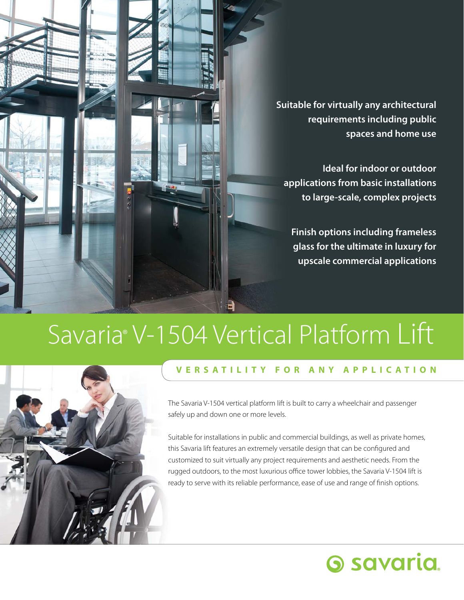**Suitable for virtually any architectural requirements including public spaces and home use Ideal for indoor or outdoor applications from basic installations to large-scale, complex projects Finish options including frameless glass for the ultimate in luxury for** 

# Savaria® V-1504 Vertical Platform Lift



# **V E R S A T I L I T Y F O R A N Y A P P L I C A T I O N**

The Savaria V-1504 vertical platform lift is built to carry a wheelchair and passenger safely up and down one or more levels.

Suitable for installations in public and commercial buildings, as well as private homes, this Savaria lift features an extremely versatile design that can be configured and customized to suit virtually any project requirements and aesthetic needs. From the rugged outdoors, to the most luxurious office tower lobbies, the Savaria V-1504 lift is ready to serve with its reliable performance, ease of use and range of finish options.

# **6 savaria**

**upscale commercial applications**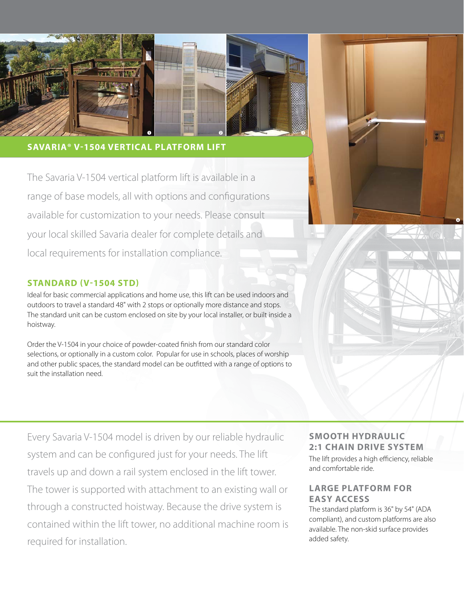

### **SAVARIA® V-1504 VERTICAL PLATFORM LIFT**

The Savaria V-1504 vertical platform lift is available in a range of base models, all with options and configurations available for customization to your needs. Please consult your local skilled Savaria dealer for complete details and local requirements for installation compliance.

# **STANDARD (V-1504 STD)**

Ideal for basic commercial applications and home use, this lift can be used indoors and outdoors to travel a standard 48" with 2 stops or optionally more distance and stops. The standard unit can be custom enclosed on site by your local installer, or built inside a hoistway.

Order the V-1504 in your choice of powder-coated finish from our standard color selections, or optionally in a custom color. Popular for use in schools, places of worship and other public spaces, the standard model can be outfitted with a range of options to suit the installation need.

Every Savaria V-1504 model is driven by our reliable hydraulic system and can be configured just for your needs. The lift travels up and down a rail system enclosed in the lift tower. The tower is supported with attachment to an existing wall or through a constructed hoistway. Because the drive system is contained within the lift tower, no additional machine room is required for installation.

#### **SMOOTH HYDRAULIC 2:1 CHAIN DRIVE SYSTEM**

The lift provides a high efficiency, reliable and comfortable ride.

 $\bullet$ 

### **LARGE PLATFORM FOR EASY ACCESS**

The standard platform is 36" by 54" (ADA compliant), and custom platforms are also available. The non-skid surface provides added safety.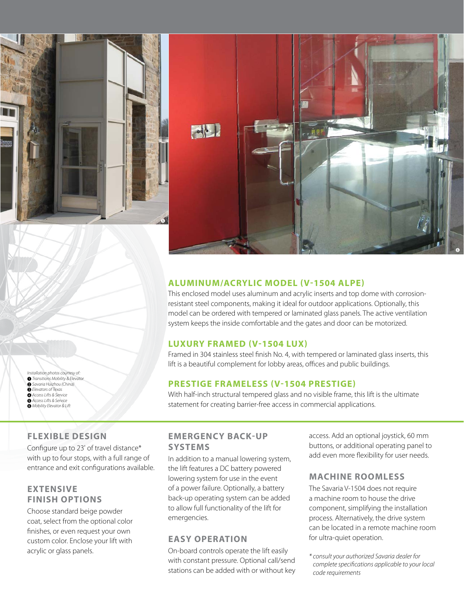



### **ALUMINUM/ACRYLIC MODEL (V-1504 ALPE)**

This enclosed model uses aluminum and acrylic inserts and top dome with corrosionresistant steel components, making it ideal for outdoor applications. Optionally, this model can be ordered with tempered or laminated glass panels. The active ventilation system keeps the inside comfortable and the gates and door can be motorized.

#### **LUXURY FRAMED (V-1504 LUX)**

Framed in 304 stainless steel finish No. 4, with tempered or laminated glass inserts, this lift is a beautiful complement for lobby areas, offices and public buildings.

### **PRESTIGE FRAMELESS (V-1504 PRESTIGE)**

With half-inch structural tempered glass and no visible frame, this lift is the ultimate statement for creating barrier-free access in commercial applications.

# **FLEXIBLE DESIGN**

*Installation photos courtesy of:* 1 *Transitions Mobility & Elevator Savaria Huizhou (China) Elevators of Texas Access Lifts & Service Access Lifts & Service Mobility Elevator & Lift*

Configure up to 23' of travel distance\* with up to four stops, with a full range of entrance and exit configurations available.

# **EXTENSIVE FINISH OPTIONS**

Choose standard beige powder coat, select from the optional color finishes, or even request your own custom color. Enclose your lift with acrylic or glass panels.

#### **EMERGENCY BACK-UP SYSTEMS**

In addition to a manual lowering system, the lift features a DC battery powered lowering system for use in the event of a power failure. Optionally, a battery back-up operating system can be added to allow full functionality of the lift for emergencies.

#### **EASY OPERATION**

On-board controls operate the lift easily with constant pressure. Optional call/send stations can be added with or without key access. Add an optional joystick, 60 mm buttons, or additional operating panel to add even more flexibility for user needs.

#### **MACHINE ROOMLESS**

The Savaria V-1504 does not require a machine room to house the drive component, simplifying the installation process. Alternatively, the drive system can be located in a remote machine room for ultra-quiet operation.

*\* consult your authorized Savaria dealer for complete specifications applicable to your local code requirements*